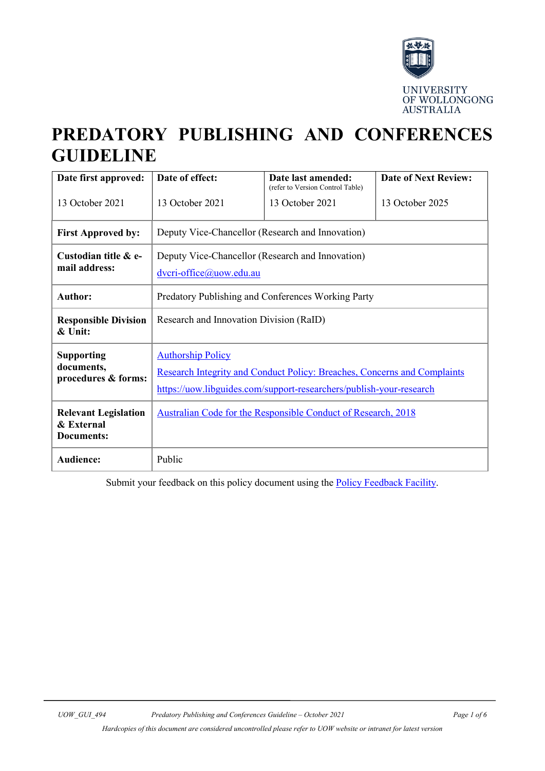

# **PREDATORY PUBLISHING AND CONFERENCES GUIDELINE**

| Date first approved:                                    | Date of effect:                                                                                                                                                                    | Date last amended:<br>(refer to Version Control Table) | <b>Date of Next Review:</b> |  |
|---------------------------------------------------------|------------------------------------------------------------------------------------------------------------------------------------------------------------------------------------|--------------------------------------------------------|-----------------------------|--|
| 13 October 2021                                         | 13 October 2021                                                                                                                                                                    | 13 October 2021                                        | 13 October 2025             |  |
| <b>First Approved by:</b>                               | Deputy Vice-Chancellor (Research and Innovation)                                                                                                                                   |                                                        |                             |  |
| Custodian title & e-<br>mail address:                   | Deputy Vice-Chancellor (Research and Innovation)<br>dvcri-office@uow.edu.au                                                                                                        |                                                        |                             |  |
| <b>Author:</b>                                          | Predatory Publishing and Conferences Working Party                                                                                                                                 |                                                        |                             |  |
| <b>Responsible Division</b><br>& Unit:                  | Research and Innovation Division (RaID)                                                                                                                                            |                                                        |                             |  |
| <b>Supporting</b><br>documents,<br>procedures & forms:  | <b>Authorship Policy</b><br><b>Research Integrity and Conduct Policy: Breaches, Concerns and Complaints</b><br>https://uow.libguides.com/support-researchers/publish-your-research |                                                        |                             |  |
| <b>Relevant Legislation</b><br>& External<br>Documents: | Australian Code for the Responsible Conduct of Research, 2018                                                                                                                      |                                                        |                             |  |
| <b>Audience:</b>                                        | Public                                                                                                                                                                             |                                                        |                             |  |

Submit your feedback on this policy document using the **Policy Feedback Facility**.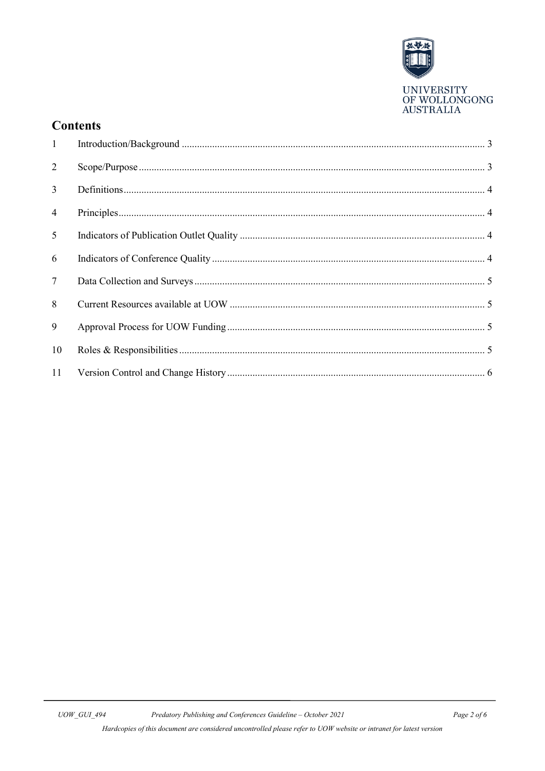

# **Contents**

| 1               |  |
|-----------------|--|
| 2               |  |
| $\overline{3}$  |  |
| $\overline{4}$  |  |
| 5               |  |
| 6               |  |
| $7\overline{ }$ |  |
| 8               |  |
| 9               |  |
| 10              |  |
| 11              |  |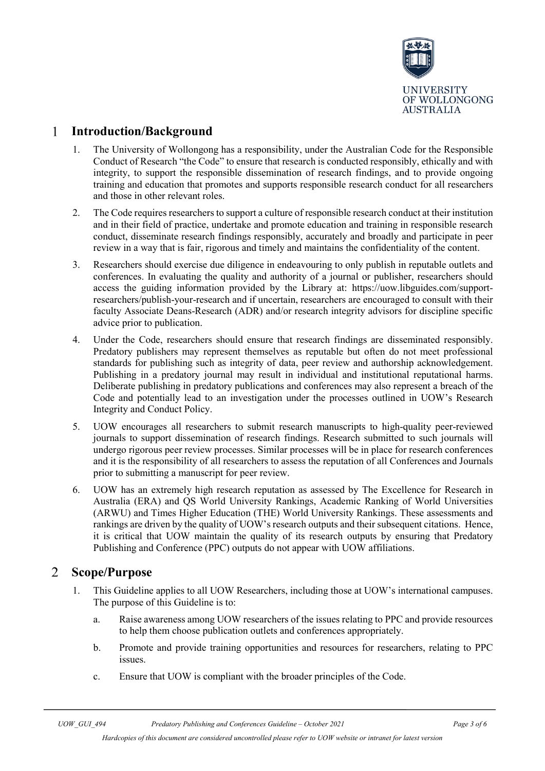

#### <span id="page-2-0"></span> $\mathbf{1}$ **Introduction/Background**

- 1. The University of Wollongong has a responsibility, under the Australian Code for the Responsible Conduct of Research "the Code" to ensure that research is conducted responsibly, ethically and with integrity, to support the responsible dissemination of research findings, and to provide ongoing training and education that promotes and supports responsible research conduct for all researchers and those in other relevant roles.
- 2. The Code requires researchers to support a culture of responsible research conduct at their institution and in their field of practice, undertake and promote education and training in responsible research conduct, disseminate research findings responsibly, accurately and broadly and participate in peer review in a way that is fair, rigorous and timely and maintains the confidentiality of the content.
- 3. Researchers should exercise due diligence in endeavouring to only publish in reputable outlets and conferences. In evaluating the quality and authority of a journal or publisher, researchers should access the guiding information provided by the Library at: https://uow.libguides.com/supportresearchers/publish-your-research and if uncertain, researchers are encouraged to consult with their faculty Associate Deans-Research (ADR) and/or research integrity advisors for discipline specific advice prior to publication.
- 4. Under the Code, researchers should ensure that research findings are disseminated responsibly. Predatory publishers may represent themselves as reputable but often do not meet professional standards for publishing such as integrity of data, peer review and authorship acknowledgement. Publishing in a predatory journal may result in individual and institutional reputational harms. Deliberate publishing in predatory publications and conferences may also represent a breach of the Code and potentially lead to an investigation under the processes outlined in UOW's Research Integrity and Conduct Policy.
- 5. UOW encourages all researchers to submit research manuscripts to high-quality peer-reviewed journals to support dissemination of research findings. Research submitted to such journals will undergo rigorous peer review processes. Similar processes will be in place for research conferences and it is the responsibility of all researchers to assess the reputation of all Conferences and Journals prior to submitting a manuscript for peer review.
- 6. UOW has an extremely high research reputation as assessed by The Excellence for Research in Australia (ERA) and QS World University Rankings, Academic Ranking of World Universities (ARWU) and Times Higher Education (THE) World University Rankings. These assessments and rankings are driven by the quality of UOW's research outputs and their subsequent citations. Hence, it is critical that UOW maintain the quality of its research outputs by ensuring that Predatory Publishing and Conference (PPC) outputs do not appear with UOW affiliations.

#### <span id="page-2-1"></span>2 **Scope/Purpose**

- 1. This Guideline applies to all UOW Researchers, including those at UOW's international campuses. The purpose of this Guideline is to:
	- a. Raise awareness among UOW researchers of the issues relating to PPC and provide resources to help them choose publication outlets and conferences appropriately.
	- b. Promote and provide training opportunities and resources for researchers, relating to PPC issues.
	- c. Ensure that UOW is compliant with the broader principles of the Code.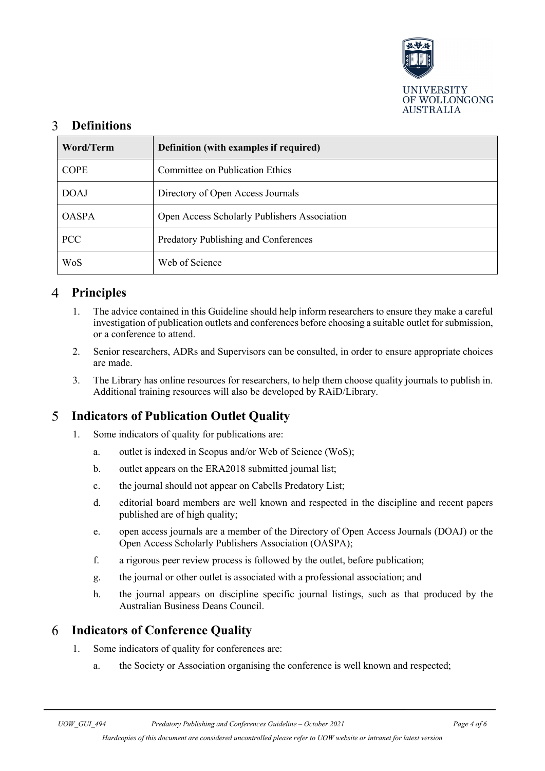

#### <span id="page-3-0"></span> $\mathcal{F}$ **Definitions**

| <b>Word/Term</b> | Definition (with examples if required)       |  |
|------------------|----------------------------------------------|--|
| <b>COPE</b>      | Committee on Publication Ethics              |  |
| <b>DOAJ</b>      | Directory of Open Access Journals            |  |
| <b>OASPA</b>     | Open Access Scholarly Publishers Association |  |
| <b>PCC</b>       | Predatory Publishing and Conferences         |  |
| WoS              | Web of Science                               |  |

#### <span id="page-3-1"></span> $\overline{4}$ **Principles**

- 1. The advice contained in this Guideline should help inform researchers to ensure they make a careful investigation of publication outlets and conferences before choosing a suitable outlet for submission, or a conference to attend.
- 2. Senior researchers, ADRs and Supervisors can be consulted, in order to ensure appropriate choices are made.
- 3. The Library has online resources for researchers, to help them choose quality journals to publish in. Additional training resources will also be developed by RAiD/Library.

#### <span id="page-3-2"></span>5 **Indicators of Publication Outlet Quality**

- 1. Some indicators of quality for publications are:
	- a. outlet is indexed in Scopus and/or Web of Science (WoS);
	- b. outlet appears on the ERA2018 submitted journal list;
	- c. the journal should not appear on Cabells Predatory List;
	- d. editorial board members are well known and respected in the discipline and recent papers published are of high quality;
	- e. open access journals are a member of the Directory of Open Access Journals (DOAJ) or the Open Access Scholarly Publishers Association (OASPA);
	- f. a rigorous peer review process is followed by the outlet, before publication;
	- g. the journal or other outlet is associated with a professional association; and
	- h. the journal appears on discipline specific journal listings, such as that produced by the Australian Business Deans Council.

#### <span id="page-3-3"></span>6 **Indicators of Conference Quality**

- 1. Some indicators of quality for conferences are:
	- a. the Society or Association organising the conference is well known and respected;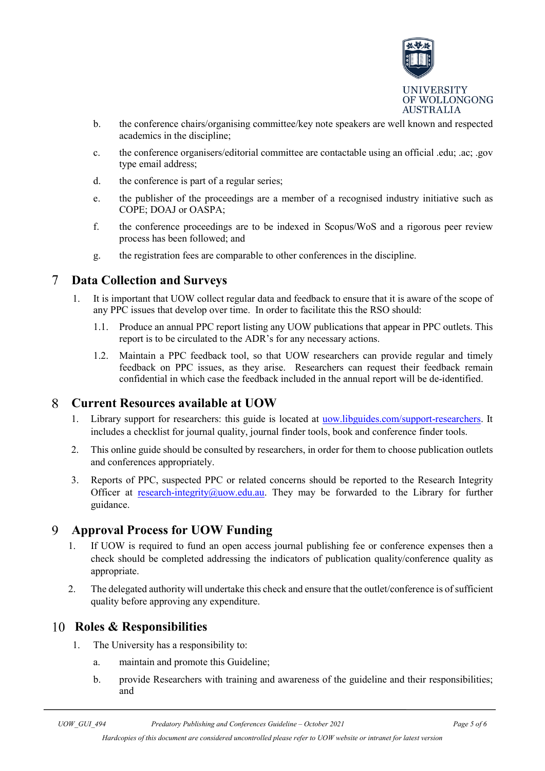

- b. the conference chairs/organising committee/key note speakers are well known and respected academics in the discipline;
- c. the conference organisers/editorial committee are contactable using an official .edu; .ac; .gov type email address;
- d. the conference is part of a regular series;
- e. the publisher of the proceedings are a member of a recognised industry initiative such as COPE; DOAJ or OASPA;
- f. the conference proceedings are to be indexed in Scopus/WoS and a rigorous peer review process has been followed; and
- g. the registration fees are comparable to other conferences in the discipline.

#### <span id="page-4-0"></span> $\tau$ **Data Collection and Surveys**

- 1. It is important that UOW collect regular data and feedback to ensure that it is aware of the scope of any PPC issues that develop over time. In order to facilitate this the RSO should:
	- 1.1. Produce an annual PPC report listing any UOW publications that appear in PPC outlets. This report is to be circulated to the ADR's for any necessary actions.
	- 1.2. Maintain a PPC feedback tool, so that UOW researchers can provide regular and timely feedback on PPC issues, as they arise. Researchers can request their feedback remain confidential in which case the feedback included in the annual report will be de-identified.

#### <span id="page-4-1"></span>8 **Current Resources available at UOW**

- 1. Library support for researchers: this guide is located at [uow.libguides.com/support-researchers.](http://uow.libguides.com/support-researchers) It includes a checklist for journal quality, journal finder tools, book and conference finder tools.
- 2. This online guide should be consulted by researchers, in order for them to choose publication outlets and conferences appropriately.
- 3. Reports of PPC, suspected PPC or related concerns should be reported to the Research Integrity Officer at [research-integrity@uow.edu.au.](mailto:research-integrity@uow.edu.au) They may be forwarded to the Library for further guidance.

#### <span id="page-4-2"></span>9 **Approval Process for UOW Funding**

- 1. If UOW is required to fund an open access journal publishing fee or conference expenses then a check should be completed addressing the indicators of publication quality/conference quality as appropriate.
- 2. The delegated authority will undertake this check and ensure that the outlet/conference is of sufficient quality before approving any expenditure.

## <span id="page-4-3"></span>**Roles & Responsibilities**

- 1. The University has a responsibility to:
	- a. maintain and promote this Guideline;
	- b. provide Researchers with training and awareness of the guideline and their responsibilities; and